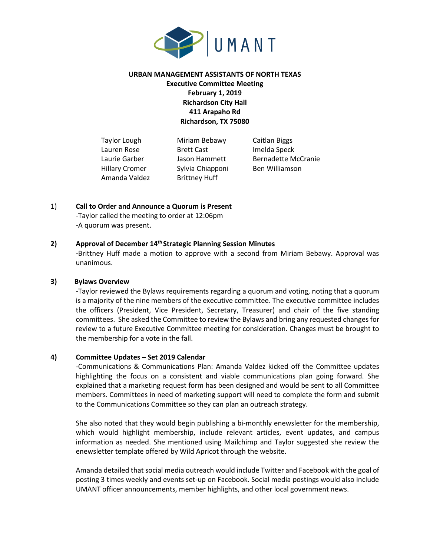

# **URBAN MANAGEMENT ASSISTANTS OF NORTH TEXAS Executive Committee Meeting February 1, 2019 Richardson City Hall 411 Arapaho Rd Richardson, TX 75080**

Amanda Valdez Brittney Huff

Taylor Lough Miriam Bebawy Caitlan Biggs Lauren Rose **Brett Cast** Imelda Speck Hillary Cromer Sylvia Chiapponi Ben Williamson

Laurie Garber **Jason Hammett** Bernadette McCranie

1) **Call to Order and Announce a Quorum is Present**

-Taylor called the meeting to order at 12:06pm -A quorum was present.

## **2) Approval of December 14th Strategic Planning Session Minutes**

**-**Brittney Huff made a motion to approve with a second from Miriam Bebawy. Approval was unanimous.

# **3) Bylaws Overview**

-Taylor reviewed the Bylaws requirements regarding a quorum and voting, noting that a quorum is a majority of the nine members of the executive committee. The executive committee includes the officers (President, Vice President, Secretary, Treasurer) and chair of the five standing committees. She asked the Committee to review the Bylaws and bring any requested changes for review to a future Executive Committee meeting for consideration. Changes must be brought to the membership for a vote in the fall.

## **4) Committee Updates – Set 2019 Calendar**

-Communications & Communications Plan: Amanda Valdez kicked off the Committee updates highlighting the focus on a consistent and viable communications plan going forward. She explained that a marketing request form has been designed and would be sent to all Committee members. Committees in need of marketing support will need to complete the form and submit to the Communications Committee so they can plan an outreach strategy.

She also noted that they would begin publishing a bi-monthly enewsletter for the membership, which would highlight membership, include relevant articles, event updates, and campus information as needed. She mentioned using Mailchimp and Taylor suggested she review the enewsletter template offered by Wild Apricot through the website.

Amanda detailed that social media outreach would include Twitter and Facebook with the goal of posting 3 times weekly and events set-up on Facebook. Social media postings would also include UMANT officer announcements, member highlights, and other local government news.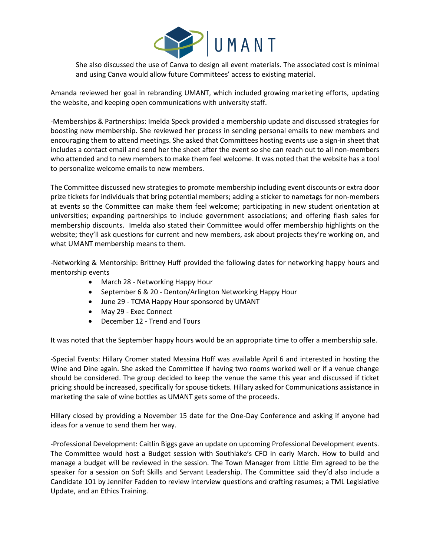

She also discussed the use of Canva to design all event materials. The associated cost is minimal and using Canva would allow future Committees' access to existing material.

Amanda reviewed her goal in rebranding UMANT, which included growing marketing efforts, updating the website, and keeping open communications with university staff.

-Memberships & Partnerships: Imelda Speck provided a membership update and discussed strategies for boosting new membership. She reviewed her process in sending personal emails to new members and encouraging them to attend meetings. She asked that Committees hosting events use a sign-in sheet that includes a contact email and send her the sheet after the event so she can reach out to all non-members who attended and to new members to make them feel welcome. It was noted that the website has a tool to personalize welcome emails to new members.

The Committee discussed new strategies to promote membership including event discounts or extra door prize tickets for individuals that bring potential members; adding a sticker to nametags for non-members at events so the Committee can make them feel welcome; participating in new student orientation at universities; expanding partnerships to include government associations; and offering flash sales for membership discounts. Imelda also stated their Committee would offer membership highlights on the website; they'll ask questions for current and new members, ask about projects they're working on, and what UMANT membership means to them.

-Networking & Mentorship: Brittney Huff provided the following dates for networking happy hours and mentorship events

- March 28 Networking Happy Hour
- September 6 & 20 Denton/Arlington Networking Happy Hour
- June 29 TCMA Happy Hour sponsored by UMANT
- May 29 Exec Connect
- December 12 Trend and Tours

It was noted that the September happy hours would be an appropriate time to offer a membership sale.

-Special Events: Hillary Cromer stated Messina Hoff was available April 6 and interested in hosting the Wine and Dine again. She asked the Committee if having two rooms worked well or if a venue change should be considered. The group decided to keep the venue the same this year and discussed if ticket pricing should be increased, specifically for spouse tickets. Hillary asked for Communications assistance in marketing the sale of wine bottles as UMANT gets some of the proceeds.

Hillary closed by providing a November 15 date for the One-Day Conference and asking if anyone had ideas for a venue to send them her way.

-Professional Development: Caitlin Biggs gave an update on upcoming Professional Development events. The Committee would host a Budget session with Southlake's CFO in early March. How to build and manage a budget will be reviewed in the session. The Town Manager from Little Elm agreed to be the speaker for a session on Soft Skills and Servant Leadership. The Committee said they'd also include a Candidate 101 by Jennifer Fadden to review interview questions and crafting resumes; a TML Legislative Update, and an Ethics Training.